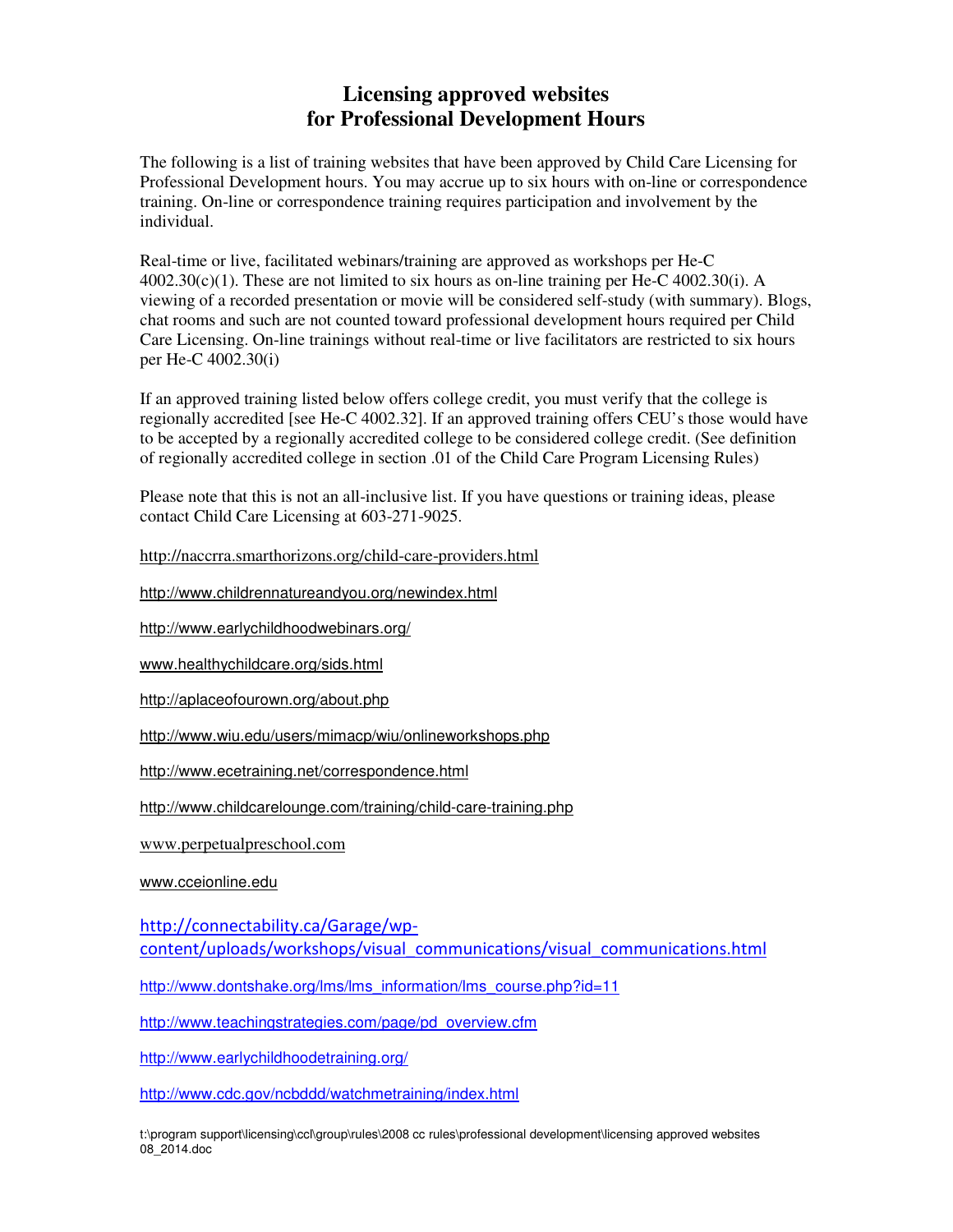## **Licensing approved websites for Professional Development Hours**

The following is a list of training websites that have been approved by Child Care Licensing for Professional Development hours. You may accrue up to six hours with on-line or correspondence training. On-line or correspondence training requires participation and involvement by the individual.

Real-time or live, facilitated webinars/training are approved as workshops per He-C  $4002.30(c)(1)$ . These are not limited to six hours as on-line training per He-C  $4002.30(i)$ . A viewing of a recorded presentation or movie will be considered self-study (with summary). Blogs, chat rooms and such are not counted toward professional development hours required per Child Care Licensing. On-line trainings without real-time or live facilitators are restricted to six hours per He-C 4002.30(i)

If an approved training listed below offers college credit, you must verify that the college is regionally accredited [see He-C 4002.32]. If an approved training offers CEU's those would have to be accepted by a regionally accredited college to be considered college credit. (See definition of regionally accredited college in section .01 of the Child Care Program Licensing Rules)

Please note that this is not an all-inclusive list. If you have questions or training ideas, please contact Child Care Licensing at 603-271-9025.

http://naccrra.smarthorizons.org/child-care-providers.html

http://www.childrennatureandyou.org/newindex.html

http://www.earlychildhoodwebinars.org/

www.healthychildcare.org/sids.html

http://aplaceofourown.org/about.php

http://www.wiu.edu/users/mimacp/wiu/onlineworkshops.php

http://www.ecetraining.net/correspondence.html

http://www.childcarelounge.com/training/child-care-training.php

www.perpetualpreschool.com

www.cceionline.edu

http://connectability.ca/Garage/wpcontent/uploads/workshops/visual\_communications/visual\_communications.html

http://www.dontshake.org/lms/lms\_information/lms\_course.php?id=11

http://www.teachingstrategies.com/page/pd\_overview.cfm

http://www.earlychildhoodetraining.org/

http://www.cdc.gov/ncbddd/watchmetraining/index.html

t:\program support\licensing\ccl\group\rules\2008 cc rules\professional development\licensing approved websites 08\_2014.doc